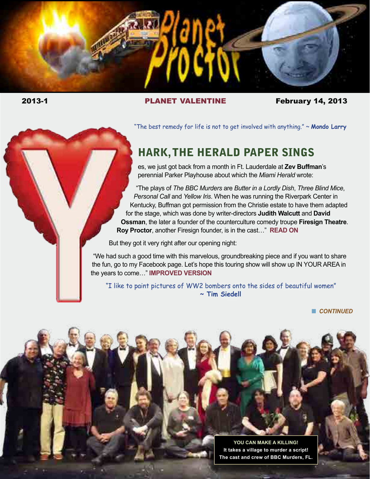

## 2013-1 PLANET VALENTINE February 14, 2013

"The best remedy for life is not to get involved with anything." ~ **Mondo Larry**

# HARK, THE HERALD PAPER SINGS

es, we just got back from a month in Ft. Lauderdale at **Zev Buffman**'s perennial Parker Playhouse about which the *Miami Herald* wrote:

"The plays of *The BBC Murders* are *Butter in a Lordly Dish*, *Three Blind Mice*, *Personal Call* and *Yellow Iris*. When he was running the Riverpark Center in Kentucky, Buffman got permission from the Christie estate to have them adapted for the stage, which was done by writer-directors **Judith Walcutt** and **David Ossman**, the later a founder of the counterculture comedy troupe **Firesign Theatre**. **Roy Proctor**, another Firesign founder, is in the cast…" **[READ ON](http://www.miamiherald.com/2013/01/15/3182450/legendary-producer-comes-home.html)**

But they got it very right after our opening night:

"We had such a good time with this marvelous, groundbreaking piece and if you want to share the fun, go to my Facebook page. Let's hope this touring show will show up IN YOUR AREA in the years to come…" **[IMPROVED VERSION](http://www.floridatheateronstage.com/features/zev-buffman-sees-no-mystery-in-producing-agatha-christies-the-bbc-murders-in-florida/)**

"I like to paint pictures of WW2 bombers onto the sides of beautiful women" **~ Tim Siedell**

**n** *CONTINUED* 

**YOU CAN MAKE A KILLING! It takes a village to murder a script! The cast and crew of BBC Murders, FL.**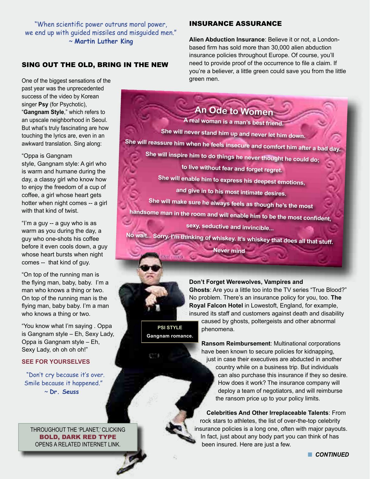"When scientific power outruns moral power, we end up with guided missiles and misguided men." ~ **Martin Luther King**

### SING OUT THE OLD, BRING IN THE NEW

One of the biggest sensations of the past year was the unprecedented success of the video by Korean singer **Psy** (for Psychotic), "**Gangnam Style**," which refers to an upscale neighborhood in Seoul. But what's truly fascinating are how touching the lyrics are, even in an awkward translation. Sing along:

"Oppa is Gangnam

style, Gangnam style: A girl who is warm and humane during the day, a classy girl who know how to enjoy the freedom of a cup of coffee, a girl whose heart gets hotter when night comes -- a girl with that kind of twist.

"I'm a guy -- a guy who is as warm as you during the day, a guy who one-shots his coffee before it even cools down, a guy whose heart bursts when night comes -- that kind of guy.

"On top of the running man is the flying man, baby, baby. I'm a man who knows a thing or two. On top of the running man is the flying man, baby baby. I'm a man who knows a thing or two.

"You know what I'm saying . Oppa is Gangnam style – Eh, Sexy Lady, Oppa is Gangnam style – Eh, Sexy Lady, oh oh oh oh!"

#### **[SEE FOR YOURSELVES](http://www.kpoplyrics.net/psy-gangnam-style-lyrics-english-romanized.html)**

"Don't cry because it's over. Smile because it happened." ~ **Dr. Seuss**

THROUGHOUT THE 'PLANET,' CLICKING BOLD, DARK RED TYPE OPENS A RELATED INTERNET LINK.

#### INSURANCE ASSURANCE

**Alien Abduction Insurance**: Believe it or not, a Londonbased firm has sold more than 30,000 alien abduction insurance policies throughout Europe. Of course, you'll need to provide proof of the occurrence to file a claim. If you're a believer, a little green could save you from the little green men.



**No wait... Sorry. I'm thinking of whiskey. It's whiskey that does all that stuff.** 

**Never mind**

#### **Don't Forget Werewolves, Vampires and**

**Ghosts**: Are you a little too into the TV series "True Blood?" No problem. There's an insurance policy for you, too. **The Royal Falcon Hotel** in Lowestoft, England, for example, insured its staff and customers against death and disability caused by ghosts, poltergeists and other abnormal phenomena.

**PSI STYLE Gangnam romance.**

**Ransom Reimbursement**: Multinational corporations have been known to secure policies for kidnapping, just in case their executives are abducted in another country while on a business trip. But individuals can also purchase this insurance if they so desire. How does it work? The insurance company will deploy a team of negotiators, and will reimburse the ransom price up to your policy limits.

**Celebrities And Other Irreplaceable Talents**: From rock stars to athletes, the list of over-the-top celebrity insurance policies is a long one, often with major payouts. In fact, just about any body part you can think of has been insured. Here are just a few.

**n** CONTINUED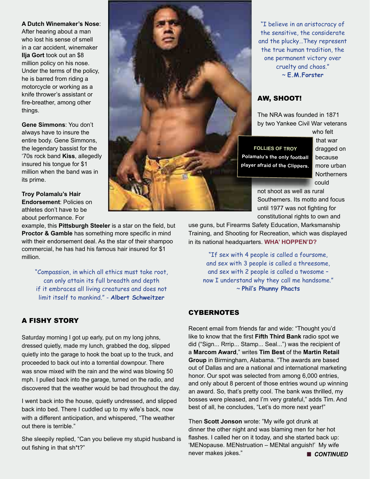#### **A Dutch Winemaker's Nose**:

After hearing about a man who lost his sense of smell in a car accident, winemaker **Ilja Gort** took out an \$8 million policy on his nose. Under the terms of the policy, he is barred from riding a motorcycle or working as a knife thrower's assistant or fire-breather, among other things.

**Gene Simmons**: You don't always have to insure the entire body. Gene Simmons, the legendary bassist for the '70s rock band **Kiss**, allegedly insured his tongue for \$1 million when the band was in its prime.

**Troy Polamalu's Hair Endorsement**: Policies on athletes don't have to be about performance. For

example, this **Pittsburgh Steeler** is a star on the field, but **Proctor & Gamble** has something more specific in mind with their endorsement deal. As the star of their shampoo commercial, he has had his famous hair insured for \$1 million.

"Compassion, in which all ethics must take root, can only attain its full breadth and depth if it embraces all living creatures and does not limit itself to mankind." - **Albert Schweitzer**

# A FISHY STORY

Saturday morning I got up early, put on my long johns, dressed quietly, made my lunch, grabbed the dog, slipped quietly into the garage to hook the boat up to the truck, and proceeded to back out into a torrential downpour. There was snow mixed with the rain and the wind was blowing 50 mph. I pulled back into the garage, turned on the radio, and discovered that the weather would be bad throughout the day.

I went back into the house, quietly undressed, and slipped back into bed. There I cuddled up to my wife's back, now with a different anticipation, and whispered, "The weather out there is terrible."

She sleepily replied, "Can you believe my stupid husband is out fishing in that sh\*t?"



"I believe in an aristocracy of the sensitive, the considerate and the plucky…They represent the true human tradition, the one permanent victory over cruelty and chaos." ~ **E.M.Forster**

#### AW, SHOOT!

The NRA was founded in 1871 by two Yankee Civil War veterans

**FOLLIES OF TROY Polamalu's the only football player afraid of the Clippers.**

who felt that war dragged on because more urban **Northerners** could

not shoot as well as rural Southerners. Its motto and focus until 1977 was not fighting for constitutional rights to own and

use guns, but Firearms Safety Education, Marksmanship Training, and Shooting for Recreation, which was displayed in its national headquarters. **[WHA' HOPPEN'D?](http://www.alternet.org/suprising-unknown-history-nra)**

"If sex with 4 people is called a foursome, and sex with 3 people is called a threesome, and sex with 2 people is called a twosome – now I understand why they call me handsome." ~ **Phil's Phunny Phacts**

#### **CYBERNOTES**

Recent email from friends far and wide: "Thought you'd like to know that the first **Fifth Third Bank** radio spot we did ("Sign... Rrrip... Stamp... Seal...") was the recipient of a **Marcom Award**," writes **Tim Best** of the **Martin Retail Group** in Birmingham, Alabama. "The awards are based out of Dallas and are a national and international marketing honor. Our spot was selected from among 6,000 entries, and only about 8 percent of those entries wound up winning an award. So, that's pretty cool. The bank was thrilled, my bosses were pleased, and I'm very grateful," adds Tim. And best of all, he concludes, "Let's do more next year!"

Then **Scott Jonson** wrote: "My wife got drunk at dinner the other night and was blaming men for her hot flashes. I called her on it today, and she started back up: 'MENopause. MENstruation – MENtal anguish!' My wife never makes jokes." **n** CONTINUED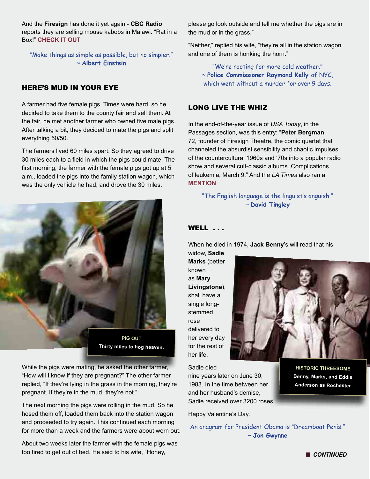And the **Firesign** has done it yet again - **CBC Radio** reports they are selling mouse kabobs in Malawi. "Rat in a Box!" **[CHECK IT OUT](http://www.youtube.com/watch%3Fv%3DdY-FOI-9SOE)**

"Make things as simple as possible, but no simpler." ~ **Albert Einstein**

#### HERE'S MUD IN YOUR EYE

A farmer had five female pigs. Times were hard, so he decided to take them to the county fair and sell them. At the fair, he met another farmer who owned five male pigs. After talking a bit, they decided to mate the pigs and split everything 50/50.

The farmers lived 60 miles apart. So they agreed to drive 30 miles each to a field in which the pigs could mate. The first morning, the farmer with the female pigs got up at 5 a.m., loaded the pigs into the family station wagon, which was the only vehicle he had, and drove the 30 miles.



While the pigs were mating, he asked the other farmer, "How will I know if they are pregnant?" The other farmer replied, "If they're lying in the grass in the morning, they're pregnant. If they're in the mud, they're not."

The next morning the pigs were rolling in the mud. So he hosed them off, loaded them back into the station wagon and proceeded to try again. This continued each morning for more than a week and the farmers were about worn out.

About two weeks later the farmer with the female pigs was too tired to get out of bed. He said to his wife, "Honey,

please go look outside and tell me whether the pigs are in the mud or in the grass."

"Neither," replied his wife, "they're all in the station wagon and one of them is honking the horn."

"We're rooting for more cold weather." ~ **Police Commissioner Raymond Kelly** of NYC, which went without a murder for over 9 days.

#### LONG LIVE THE WHIZ

In the end-of-the-year issue of *USA Today*, in the Passages section, was this entry: "**Peter Bergman**, 72, founder of Firesign Theatre, the comic quartet that channeled the absurdist sensibility and chaotic impulses of the countercultural 1960s and '70s into a popular radio show and several cult-classic albums. Complications of leukemia, March 9." And the *LA Times* also ran a **[MENTION](http://www.latimes.com/news/obituaries/la-me-2012notables-gallery%2C0%2C1269713.photogallery)**.

"The English language is the linguist's anguish." ~ **David Tingley**

#### WELL . . .

When he died in 1974, **Jack Benny**'s will read that his

widow, **Sadie Marks** (better known as **Mary Livingstone**), shall have a single longstemmed rose delivered to her every day for the rest of her life.

Sadie died nine years later on June 30, 1983. In the time between her and her husband's demise, Sadie received over 3200 roses!

Happy Valentine's Day.

An anagram for President Obama is "Dreamboat Penis." ~ **Jon Gwynne**



**HISTORIC THREESOME Benny, Marks, and Eddie Anderson as Rochester**